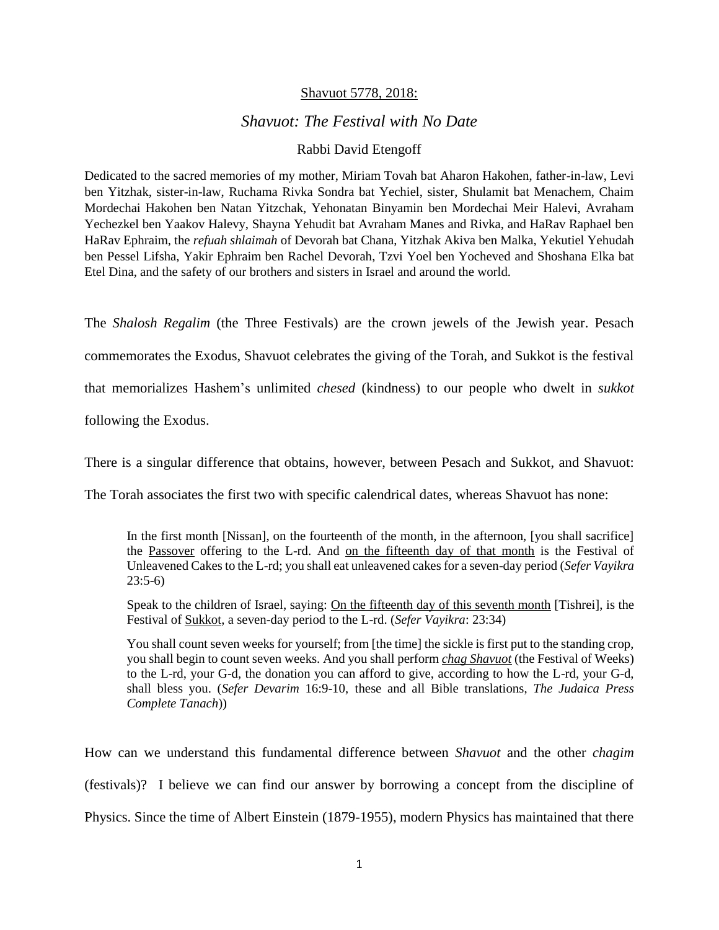## Shavuot 5778, 2018:

## *Shavuot: The Festival with No Date*

## Rabbi David Etengoff

Dedicated to the sacred memories of my mother, Miriam Tovah bat Aharon Hakohen, father-in-law, Levi ben Yitzhak, sister-in-law, Ruchama Rivka Sondra bat Yechiel, sister, Shulamit bat Menachem, Chaim Mordechai Hakohen ben Natan Yitzchak, Yehonatan Binyamin ben Mordechai Meir Halevi, Avraham Yechezkel ben Yaakov Halevy, Shayna Yehudit bat Avraham Manes and Rivka, and HaRav Raphael ben HaRav Ephraim, the *refuah shlaimah* of Devorah bat Chana, Yitzhak Akiva ben Malka, Yekutiel Yehudah ben Pessel Lifsha, Yakir Ephraim ben Rachel Devorah, Tzvi Yoel ben Yocheved and Shoshana Elka bat Etel Dina, and the safety of our brothers and sisters in Israel and around the world.

The *Shalosh Regalim* (the Three Festivals) are the crown jewels of the Jewish year. Pesach

commemorates the Exodus, Shavuot celebrates the giving of the Torah, and Sukkot is the festival

that memorializes Hashem's unlimited *chesed* (kindness) to our people who dwelt in *sukkot*

following the Exodus.

There is a singular difference that obtains, however, between Pesach and Sukkot, and Shavuot:

The Torah associates the first two with specific calendrical dates, whereas Shavuot has none:

In the first month [Nissan], on the fourteenth of the month, in the afternoon, [you shall sacrifice] the Passover offering to the L-rd. And on the fifteenth day of that month is the Festival of Unleavened Cakes to the L-rd; you shall eat unleavened cakes for a seven-day period (*Sefer Vayikra*  23:5-6)

Speak to the children of Israel, saying: On the fifteenth day of this seventh month [Tishrei], is the Festival of Sukkot, a seven-day period to the L-rd. (*Sefer Vayikra*: 23:34)

You shall count seven weeks for yourself; from [the time] the sickle is first put to the standing crop, you shall begin to count seven weeks. And you shall perform *chag Shavuot* (the Festival of Weeks) to the L-rd, your G-d, the donation you can afford to give, according to how the L-rd, your G-d, shall bless you. (*Sefer Devarim* 16:9-10, these and all Bible translations, *The Judaica Press Complete Tanach*))

How can we understand this fundamental difference between *Shavuot* and the other *chagim*  (festivals)? I believe we can find our answer by borrowing a concept from the discipline of Physics. Since the time of Albert Einstein (1879-1955), modern Physics has maintained that there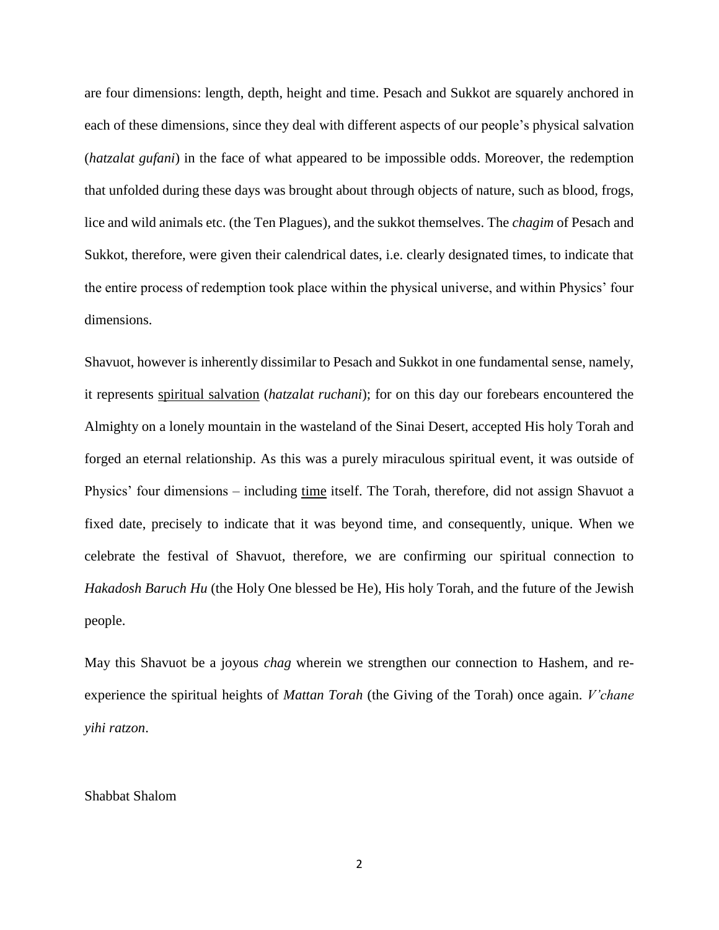are four dimensions: length, depth, height and time. Pesach and Sukkot are squarely anchored in each of these dimensions, since they deal with different aspects of our people's physical salvation (*hatzalat gufani*) in the face of what appeared to be impossible odds. Moreover, the redemption that unfolded during these days was brought about through objects of nature, such as blood, frogs, lice and wild animals etc. (the Ten Plagues), and the sukkot themselves. The *chagim* of Pesach and Sukkot, therefore, were given their calendrical dates, i.e. clearly designated times, to indicate that the entire process of redemption took place within the physical universe, and within Physics' four dimensions.

Shavuot, however is inherently dissimilar to Pesach and Sukkot in one fundamental sense, namely, it represents spiritual salvation (*hatzalat ruchani*); for on this day our forebears encountered the Almighty on a lonely mountain in the wasteland of the Sinai Desert, accepted His holy Torah and forged an eternal relationship. As this was a purely miraculous spiritual event, it was outside of Physics' four dimensions – including time itself. The Torah, therefore, did not assign Shavuot a fixed date, precisely to indicate that it was beyond time, and consequently, unique. When we celebrate the festival of Shavuot, therefore, we are confirming our spiritual connection to *Hakadosh Baruch Hu* (the Holy One blessed be He), His holy Torah, and the future of the Jewish people.

May this Shavuot be a joyous *chag* wherein we strengthen our connection to Hashem, and reexperience the spiritual heights of *Mattan Torah* (the Giving of the Torah) once again. *V'chane yihi ratzon*.

## Shabbat Shalom